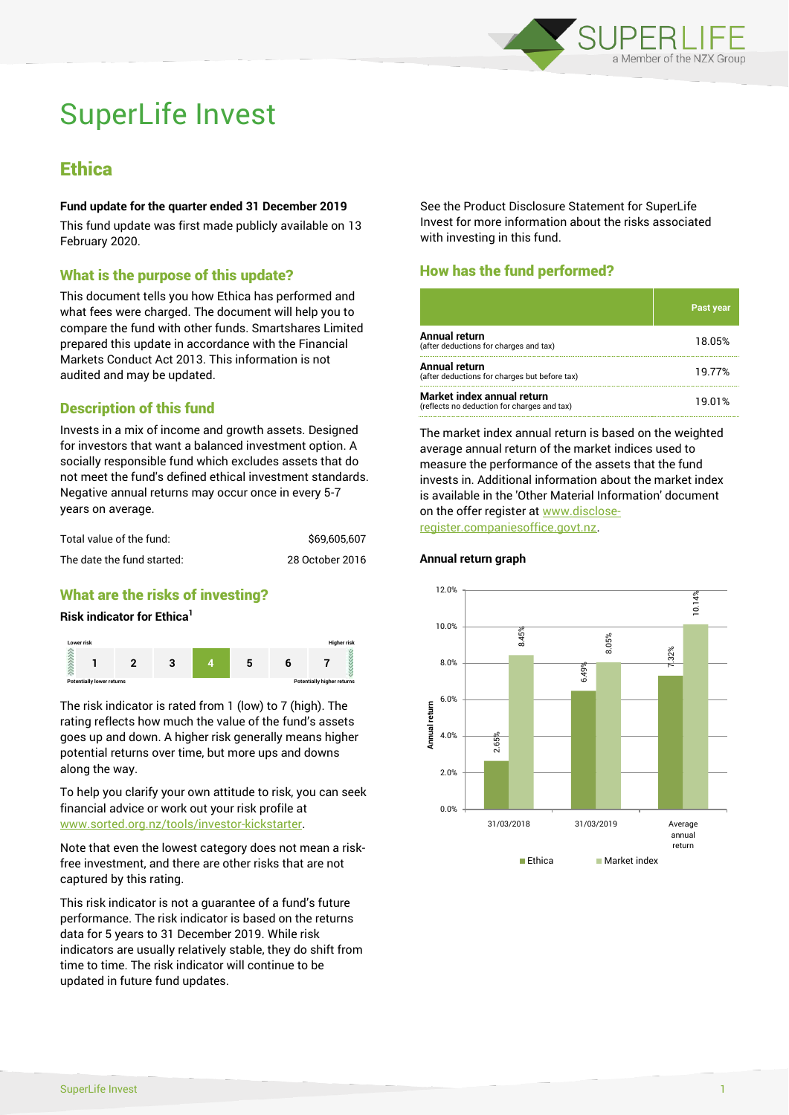

# SuperLife Invest

# **Ethica**

#### **Fund update for the quarter ended 31 December 2019**

This fund update was first made publicly available on 13 February 2020.

## What is the purpose of this update?

This document tells you how Ethica has performed and what fees were charged. The document will help you to compare the fund with other funds. Smartshares Limited prepared this update in accordance with the Financial Markets Conduct Act 2013. This information is not audited and may be updated.

# Description of this fund

Invests in a mix of income and growth assets. Designed for investors that want a balanced investment option. A socially responsible fund which excludes assets that do not meet the fund's defined ethical investment standards. Negative annual returns may occur once in every 5-7 years on average.

| Total value of the fund:   | \$69,605,607    |
|----------------------------|-----------------|
| The date the fund started: | 28 October 2016 |

# What are the risks of investing?

#### **Risk indicator for Ethica<sup>1</sup>**



The risk indicator is rated from 1 (low) to 7 (high). The rating reflects how much the value of the fund's assets goes up and down. A higher risk generally means higher potential returns over time, but more ups and downs along the way.

To help you clarify your own attitude to risk, you can seek financial advice or work out your risk profile at [www.sorted.org.nz/tools/investor-kickstarter.](http://www.sorted.org.nz/tools/investor-kickstarter)

Note that even the lowest category does not mean a riskfree investment, and there are other risks that are not captured by this rating.

This risk indicator is not a guarantee of a fund's future performance. The risk indicator is based on the returns data for 5 years to 31 December 2019. While risk indicators are usually relatively stable, they do shift from time to time. The risk indicator will continue to be updated in future fund updates.

See the Product Disclosure Statement for SuperLife Invest for more information about the risks associated with investing in this fund.

# How has the fund performed?

|                                                                           | <u>'Past year</u> |
|---------------------------------------------------------------------------|-------------------|
| Annual return<br>(after deductions for charges and tax)                   | 18.05%            |
| Annual return<br>(after deductions for charges but before tax)            | 19.77%            |
| Market index annual return<br>(reflects no deduction for charges and tax) | 19.01%            |

The market index annual return is based on the weighted average annual return of the market indices used to measure the performance of the assets that the fund invests in. Additional information about the market index is available in the 'Other Material Information' document on the offer register at www.discloseregister.companiesoffice.govt.nz.



#### **Annual return graph**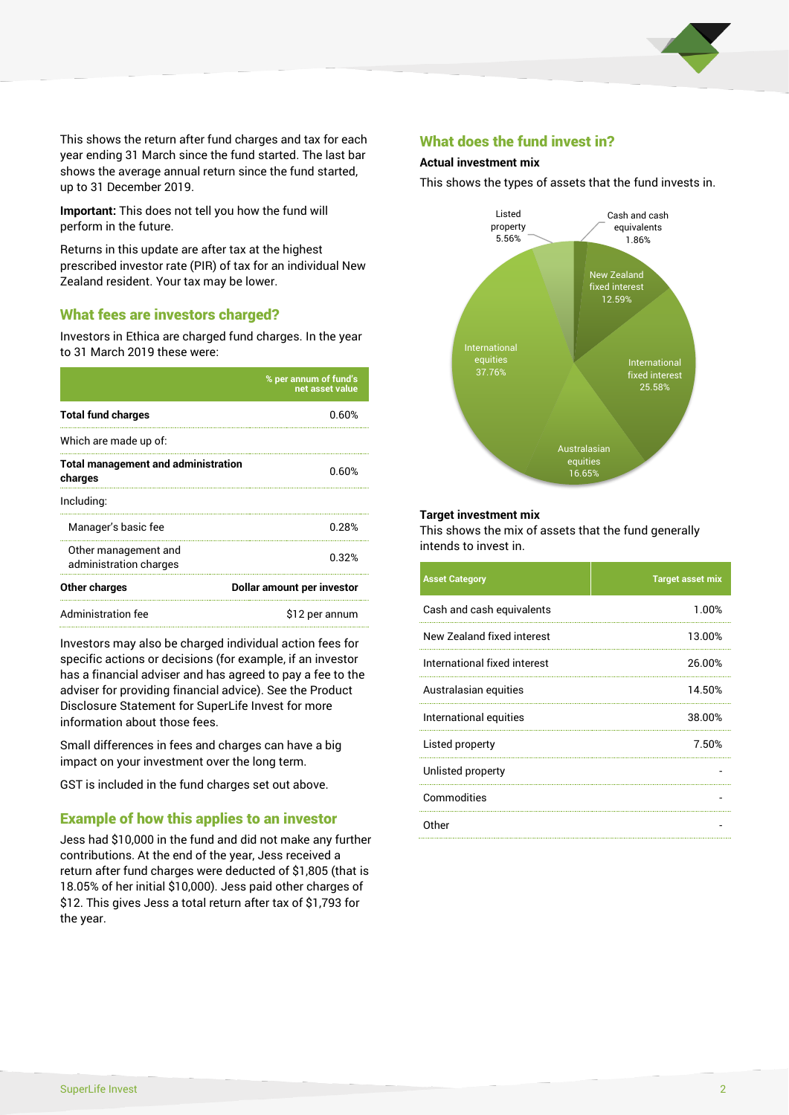

This shows the return after fund charges and tax for each year ending 31 March since the fund started. The last bar shows the average annual return since the fund started, up to 31 December 2019.

**Important:** This does not tell you how the fund will perform in the future.

Returns in this update are after tax at the highest prescribed investor rate (PIR) of tax for an individual New Zealand resident. Your tax may be lower.

#### What fees are investors charged?

Investors in Ethica are charged fund charges. In the year to 31 March 2019 these were:

|                                                       | % per annum of fund's<br>net asset value |  |
|-------------------------------------------------------|------------------------------------------|--|
| <b>Total fund charges</b>                             | 0.60%                                    |  |
| Which are made up of:                                 |                                          |  |
| <b>Total management and administration</b><br>charges | 0.60%                                    |  |
| Including:                                            |                                          |  |
| Manager's basic fee                                   | 0.28%                                    |  |
| Other management and<br>administration charges        | 0.32%                                    |  |
| Other charges                                         | Dollar amount per investor               |  |
| Administration fee                                    | \$12 per annum                           |  |

Investors may also be charged individual action fees for specific actions or decisions (for example, if an investor has a financial adviser and has agreed to pay a fee to the adviser for providing financial advice). See the Product Disclosure Statement for SuperLife Invest for more information about those fees.

Small differences in fees and charges can have a big impact on your investment over the long term.

GST is included in the fund charges set out above.

#### Example of how this applies to an investor

Jess had \$10,000 in the fund and did not make any further contributions. At the end of the year, Jess received a return after fund charges were deducted of \$1,805 (that is 18.05% of her initial \$10,000). Jess paid other charges of \$12. This gives Jess a total return after tax of \$1,793 for the year.

#### What does the fund invest in?

#### **Actual investment mix**

This shows the types of assets that the fund invests in.



#### **Target investment mix**

This shows the mix of assets that the fund generally intends to invest in.

| <b>Asset Category</b>        | <b>Target asset mix</b> |
|------------------------------|-------------------------|
| Cash and cash equivalents    | 1.00%                   |
| New Zealand fixed interest   | 13.00%                  |
| International fixed interest | 26.00%                  |
| Australasian equities        | 14.50%                  |
| International equities       | 38.00%                  |
| Listed property              | 7.50%                   |
| Unlisted property            |                         |
| Commodities                  |                         |
| Other                        |                         |